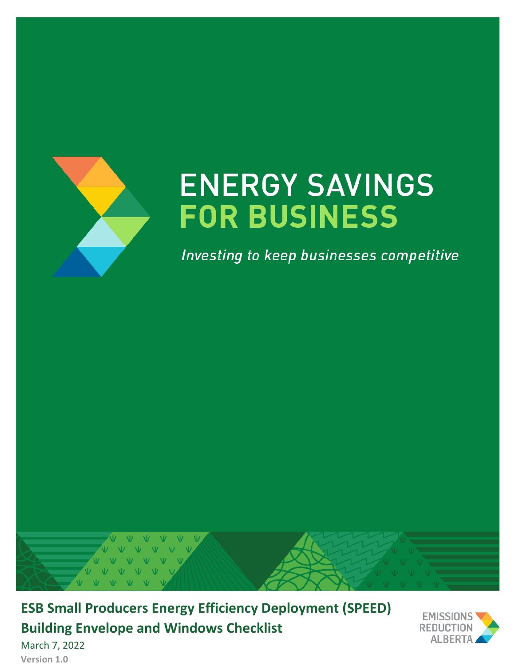

# **ENERGY SAVINGS FOR BUSINESS**

Investing to keep businesses competitive



**ESB Small Producers Energy Efficiency Deployment (SPEED) Building Envelope and Windows Checklist**



March 7, 2022 **Version 1.0**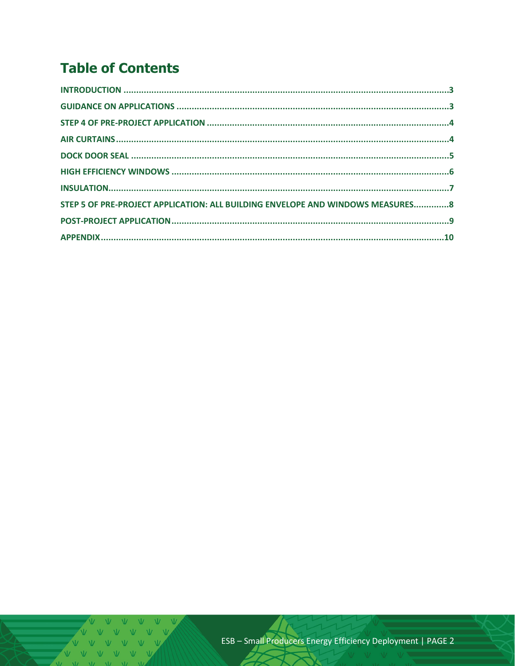## **Table of Contents**

| STEP 5 OF PRE-PROJECT APPLICATION: ALL BUILDING ENVELOPE AND WINDOWS MEASURES8 |  |
|--------------------------------------------------------------------------------|--|
|                                                                                |  |
|                                                                                |  |

V V V V V V V  $V$   $V$   $V$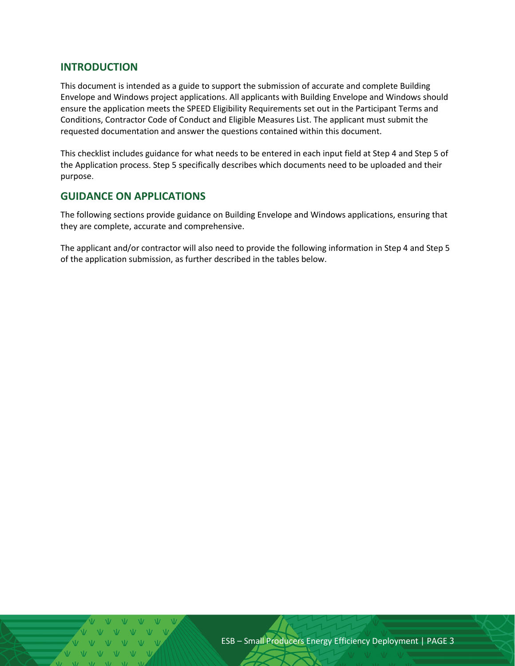#### <span id="page-2-0"></span>**INTRODUCTION**

This document is intended as a guide to support the submission of accurate and complete Building Envelope and Windows project applications. All applicants with Building Envelope and Windows should ensure the application meets the SPEED Eligibility Requirements set out in the Participant Terms and Conditions, Contractor Code of Conduct and Eligible Measures List. The applicant must submit the requested documentation and answer the questions contained within this document.

This checklist includes guidance for what needs to be entered in each input field at Step 4 and Step 5 of the Application process. Step 5 specifically describes which documents need to be uploaded and their purpose.

#### <span id="page-2-1"></span>**GUIDANCE ON APPLICATIONS**

The following sections provide guidance on Building Envelope and Windows applications, ensuring that they are complete, accurate and comprehensive.

The applicant and/or contractor will also need to provide the following information in Step 4 and Step 5 of the application submission, as further described in the tables below.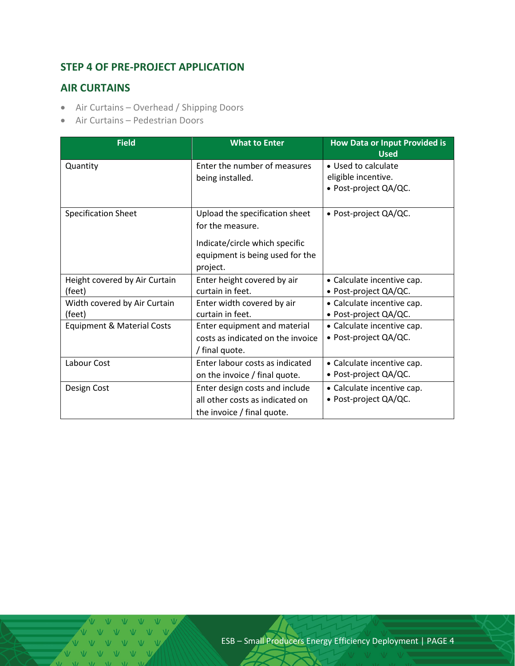## <span id="page-3-0"></span>**STEP 4 OF PRE-PROJECT APPLICATION**

#### <span id="page-3-1"></span>**AIR CURTAINS**

- Air Curtains Overhead / Shipping Doors
- Air Curtains Pedestrian Doors

| <b>Field</b>                          | <b>What to Enter</b>              | <b>How Data or Input Provided is</b><br><b>Used</b> |  |
|---------------------------------------|-----------------------------------|-----------------------------------------------------|--|
| Quantity                              | Enter the number of measures      | • Used to calculate                                 |  |
|                                       | being installed.                  | eligible incentive.                                 |  |
|                                       |                                   | • Post-project QA/QC.                               |  |
|                                       |                                   |                                                     |  |
| <b>Specification Sheet</b>            | Upload the specification sheet    | • Post-project QA/QC.                               |  |
|                                       | for the measure.                  |                                                     |  |
|                                       | Indicate/circle which specific    |                                                     |  |
|                                       | equipment is being used for the   |                                                     |  |
|                                       | project.                          |                                                     |  |
| Height covered by Air Curtain         | Enter height covered by air       | • Calculate incentive cap.                          |  |
| (feet)                                | curtain in feet.                  | • Post-project QA/QC.                               |  |
| Width covered by Air Curtain          | Enter width covered by air        | • Calculate incentive cap.                          |  |
| (feet)                                | curtain in feet.                  | • Post-project QA/QC.                               |  |
| <b>Equipment &amp; Material Costs</b> | Enter equipment and material      | • Calculate incentive cap.                          |  |
|                                       | costs as indicated on the invoice | • Post-project QA/QC.                               |  |
|                                       | / final quote.                    |                                                     |  |
| Labour Cost                           | Enter labour costs as indicated   | • Calculate incentive cap.                          |  |
|                                       | on the invoice / final quote.     | • Post-project QA/QC.                               |  |
| Design Cost                           | Enter design costs and include    | • Calculate incentive cap.                          |  |
|                                       | all other costs as indicated on   | • Post-project QA/QC.                               |  |
|                                       | the invoice / final quote.        |                                                     |  |

V V V VVVV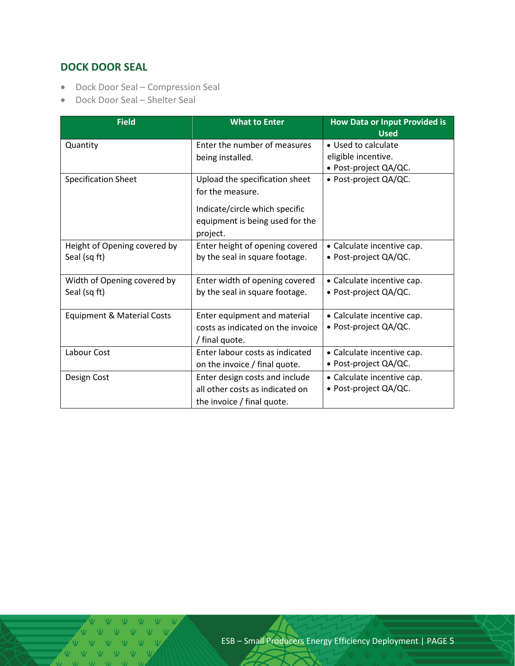## <span id="page-4-0"></span>**DOCK DOOR SEAL**

- Dock Door Seal Compression Seal
- Dock Door Seal Shelter Seal

| <b>Field</b>                          | <b>What to Enter</b>              | <b>How Data or Input Provided is</b><br><b>Used</b> |  |
|---------------------------------------|-----------------------------------|-----------------------------------------------------|--|
| Quantity                              | Enter the number of measures      | • Used to calculate                                 |  |
|                                       | being installed.                  | eligible incentive.                                 |  |
|                                       |                                   | • Post-project QA/QC.                               |  |
| <b>Specification Sheet</b>            | Upload the specification sheet    | • Post-project QA/QC.                               |  |
|                                       | for the measure.                  |                                                     |  |
|                                       | Indicate/circle which specific    |                                                     |  |
|                                       | equipment is being used for the   |                                                     |  |
|                                       | project.                          |                                                     |  |
| Height of Opening covered by          | Enter height of opening covered   | • Calculate incentive cap.                          |  |
| Seal (sq ft)                          | by the seal in square footage.    | • Post-project QA/QC.                               |  |
| Width of Opening covered by           | Enter width of opening covered    | • Calculate incentive cap.                          |  |
| Seal (sq ft)                          | by the seal in square footage.    | • Post-project QA/QC.                               |  |
| <b>Equipment &amp; Material Costs</b> | Enter equipment and material      | • Calculate incentive cap.                          |  |
|                                       | costs as indicated on the invoice | • Post-project QA/QC.                               |  |
|                                       | / final quote.                    |                                                     |  |
| Labour Cost                           | Enter labour costs as indicated   | • Calculate incentive cap.                          |  |
|                                       | on the invoice / final quote.     | • Post-project QA/QC.                               |  |
| Design Cost                           | Enter design costs and include    | • Calculate incentive cap.                          |  |
|                                       | all other costs as indicated on   | • Post-project QA/QC.                               |  |
|                                       | the invoice / final quote.        |                                                     |  |

VVVV V V V V V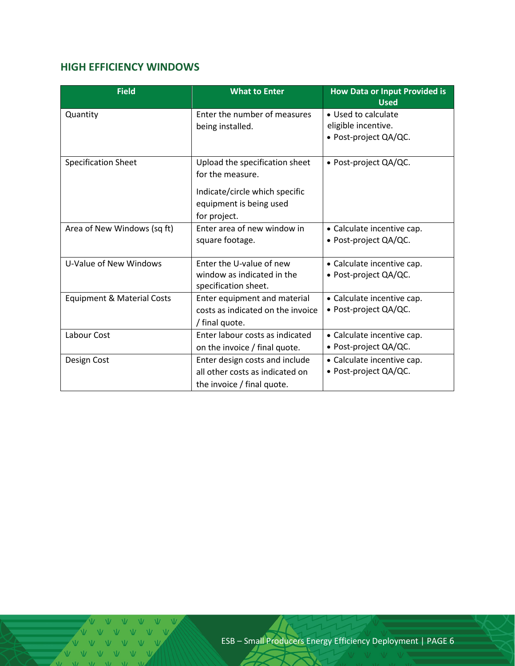## <span id="page-5-0"></span>**HIGH EFFICIENCY WINDOWS**

| <b>Field</b>                          | <b>What to Enter</b>              | <b>How Data or Input Provided is</b><br><b>Used</b> |
|---------------------------------------|-----------------------------------|-----------------------------------------------------|
| Quantity                              | Enter the number of measures      | • Used to calculate                                 |
|                                       | being installed.                  | eligible incentive.                                 |
|                                       |                                   | • Post-project QA/QC.                               |
|                                       |                                   |                                                     |
| <b>Specification Sheet</b>            | Upload the specification sheet    | · Post-project QA/QC.                               |
|                                       | for the measure.                  |                                                     |
|                                       | Indicate/circle which specific    |                                                     |
|                                       | equipment is being used           |                                                     |
|                                       | for project.                      |                                                     |
| Area of New Windows (sq ft)           | Enter area of new window in       | • Calculate incentive cap.                          |
|                                       | square footage.                   | • Post-project QA/QC.                               |
|                                       |                                   |                                                     |
| U-Value of New Windows                | Enter the U-value of new          | • Calculate incentive cap.                          |
|                                       | window as indicated in the        | · Post-project QA/QC.                               |
|                                       | specification sheet.              |                                                     |
| <b>Equipment &amp; Material Costs</b> | Enter equipment and material      | • Calculate incentive cap.                          |
|                                       | costs as indicated on the invoice | • Post-project QA/QC.                               |
|                                       | / final quote.                    |                                                     |
| Labour Cost                           | Enter labour costs as indicated   | • Calculate incentive cap.                          |
|                                       | on the invoice / final quote.     | • Post-project QA/QC.                               |
| Design Cost                           | Enter design costs and include    | • Calculate incentive cap.                          |
|                                       | all other costs as indicated on   | • Post-project QA/QC.                               |
|                                       | the invoice / final quote.        |                                                     |

V V V V V V V V V V V V V  $N$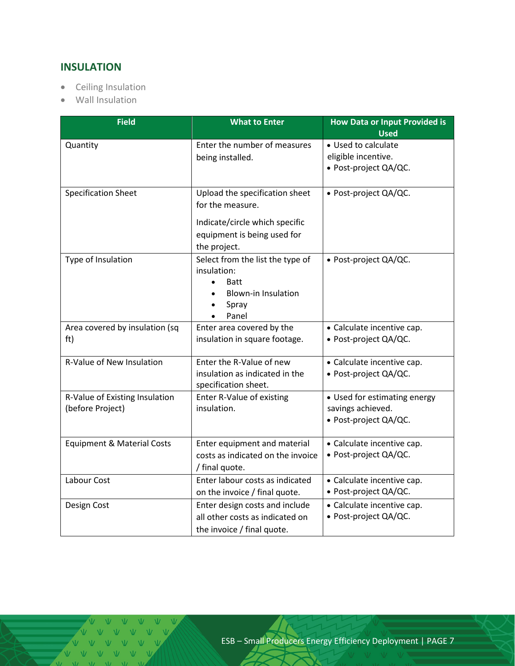## <span id="page-6-0"></span>**INSULATION**

- Ceiling Insulation
- Wall Insulation

| <b>Field</b>                                       | <b>What to Enter</b>                                                                                                                                  | <b>How Data or Input Provided is</b><br><b>Used</b>                        |  |
|----------------------------------------------------|-------------------------------------------------------------------------------------------------------------------------------------------------------|----------------------------------------------------------------------------|--|
| Quantity                                           | Enter the number of measures<br>being installed.                                                                                                      | • Used to calculate<br>eligible incentive.<br>• Post-project QA/QC.        |  |
| <b>Specification Sheet</b>                         | Upload the specification sheet<br>for the measure.<br>Indicate/circle which specific<br>equipment is being used for<br>the project.                   | · Post-project QA/QC.                                                      |  |
| Type of Insulation                                 | Select from the list the type of<br>insulation:<br><b>Batt</b><br>$\bullet$<br><b>Blown-in Insulation</b><br>$\bullet$<br>Spray<br>$\bullet$<br>Panel | · Post-project QA/QC.                                                      |  |
| Area covered by insulation (sq<br>ft)              | Enter area covered by the<br>insulation in square footage.                                                                                            | • Calculate incentive cap.<br>• Post-project QA/QC.                        |  |
| R-Value of New Insulation                          | Enter the R-Value of new<br>insulation as indicated in the<br>specification sheet.                                                                    | • Calculate incentive cap.<br>· Post-project QA/QC.                        |  |
| R-Value of Existing Insulation<br>(before Project) | Enter R-Value of existing<br>insulation.                                                                                                              | • Used for estimating energy<br>savings achieved.<br>· Post-project QA/QC. |  |
| <b>Equipment &amp; Material Costs</b>              | Enter equipment and material<br>costs as indicated on the invoice<br>/ final quote.                                                                   | • Calculate incentive cap.<br>• Post-project QA/QC.                        |  |
| Labour Cost                                        | Enter labour costs as indicated<br>on the invoice / final quote.                                                                                      | • Calculate incentive cap.<br>• Post-project QA/QC.                        |  |
| Design Cost                                        | Enter design costs and include<br>all other costs as indicated on<br>the invoice / final quote.                                                       | • Calculate incentive cap.<br>· Post-project QA/QC.                        |  |

V V V V V V V V V V V V VVVVV  $M = M$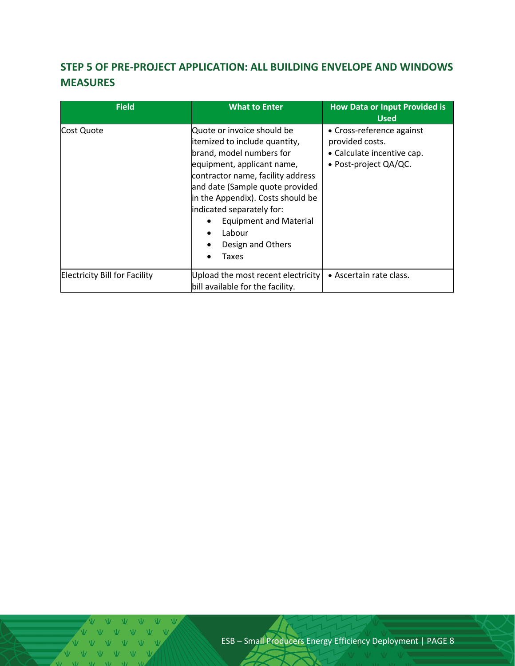## <span id="page-7-0"></span>**STEP 5 OF PRE-PROJECT APPLICATION: ALL BUILDING ENVELOPE AND WINDOWS MEASURES**

| <b>Field</b>                         | <b>What to Enter</b>                                                                                                                                                                                                                                                                                                                     | <b>How Data or Input Provided is</b><br><b>Used</b>                                                 |
|--------------------------------------|------------------------------------------------------------------------------------------------------------------------------------------------------------------------------------------------------------------------------------------------------------------------------------------------------------------------------------------|-----------------------------------------------------------------------------------------------------|
| Cost Quote                           | Quote or invoice should be<br>itemized to include quantity,<br>brand, model numbers for<br>equipment, applicant name,<br>contractor name, facility address<br>and date (Sample quote provided<br>in the Appendix). Costs should be<br>indicated separately for:<br><b>Equipment and Material</b><br>Labour<br>Design and Others<br>Taxes | • Cross-reference against<br>provided costs.<br>• Calculate incentive cap.<br>• Post-project QA/QC. |
| <b>Electricity Bill for Facility</b> | Upload the most recent electricity<br>bill available for the facility.                                                                                                                                                                                                                                                                   | • Ascertain rate class.                                                                             |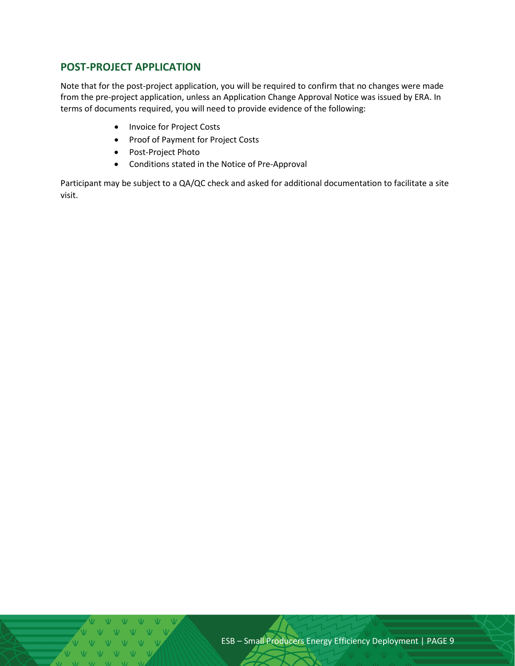### <span id="page-8-0"></span>**POST-PROJECT APPLICATION**

Note that for the post-project application, you will be required to confirm that no changes were made from the pre-project application, unless an Application Change Approval Notice was issued by ERA. In terms of documents required, you will need to provide evidence of the following:

- Invoice for Project Costs
- Proof of Payment for Project Costs
- Post-Project Photo
- Conditions stated in the Notice of Pre-Approval

Participant may be subject to a QA/QC check and asked for additional documentation to facilitate a site visit.